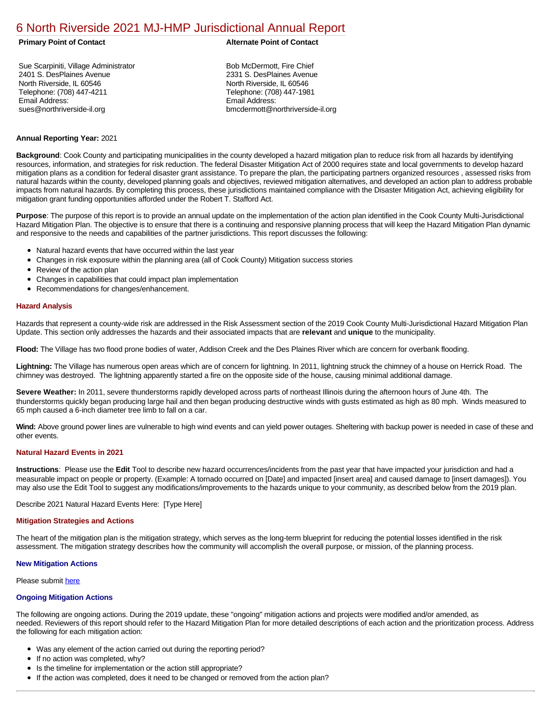# [6 North Riverside 2021 MJ-HMP Jurisdictional Annual Report](https://northriverside.isc-cemp.com/Cemp/Details?id=8322752)

Sue Scarpiniti, Village Administrator 2401 S. DesPlaines Avenue North Riverside, IL 60546 Telephone: (708) 447-4211 Email Address: sues@northriverside-il.org

## **Primary Point of Contact Alternate Point of Contact**

Bob McDermott, Fire Chief 2331 S. DesPlaines Avenue North Riverside, IL 60546 Telephone: (708) 447-1981 Email Address: bmcdermott@northriverside-il.org

# **Annual Reporting Year:** 2021

**Background**: Cook County and participating municipalities in the county developed a hazard mitigation plan to reduce risk from all hazards by identifying resources, information, and strategies for risk reduction. The federal Disaster Mitigation Act of 2000 requires state and local governments to develop hazard mitigation plans as a condition for federal disaster grant assistance. To prepare the plan, the participating partners organized resources , assessed risks from natural hazards within the county, developed planning goals and objectives, reviewed mitigation alternatives, and developed an action plan to address probable impacts from natural hazards. By completing this process, these jurisdictions maintained compliance with the Disaster Mitigation Act, achieving eligibility for mitigation grant funding opportunities afforded under the Robert T. Stafford Act.

**Purpose**: The purpose of this report is to provide an annual update on the implementation of the action plan identified in the Cook County Multi-Jurisdictional Hazard Mitigation Plan. The objective is to ensure that there is a continuing and responsive planning process that will keep the Hazard Mitigation Plan dynamic and responsive to the needs and capabilities of the partner jurisdictions. This report discusses the following:

- Natural hazard events that have occurred within the last year
- Changes in risk exposure within the planning area (all of Cook County) Mitigation success stories  $\bullet$
- Review of the action plan  $\bullet$
- $\bullet$ Changes in capabilities that could impact plan implementation
- Recommendations for changes/enhancement.  $\bullet$

# **Hazard Analysis**

Hazards that represent a county-wide risk are addressed in the Risk Assessment section of the 2019 Cook County Multi-Jurisdictional Hazard Mitigation Plan Update. This section only addresses the hazards and their associated impacts that are **relevant** and **unique** to the municipality.

**Flood:** The Village has two flood prone bodies of water, Addison Creek and the Des Plaines River which are concern for overbank flooding.

Lightning: The Village has numerous open areas which are of concern for lightning. In 2011, lightning struck the chimney of a house on Herrick Road. The chimney was destroyed. The lightning apparently started a fire on the opposite side of the house, causing minimal additional damage.

**Severe Weather:** In 2011, severe thunderstorms rapidly developed across parts of northeast Illinois during the afternoon hours of June 4th. The thunderstorms quickly began producing large hail and then began producing destructive winds with gusts estimated as high as 80 mph. Winds measured to 65 mph caused a 6-inch diameter tree limb to fall on a car.

**Wind:** Above ground power lines are vulnerable to high wind events and can yield power outages. Sheltering with backup power is needed in case of these and other events.

# **Natural Hazard Events in 2021**

**Instructions**: Please use the **Edit** Tool to describe new hazard occurrences/incidents from the past year that have impacted your jurisdiction and had a measurable impact on people or property. (Example: A tornado occurred on [Date] and impacted [insert area] and caused damage to [insert damages]). You may also use the Edit Tool to suggest any modifications/improvements to the hazards unique to your community, as described below from the 2019 plan.

Describe 2021 Natural Hazard Events Here: [Type Here]

#### **Mitigation Strategies and Actions**

The heart of the mitigation plan is the mitigation strategy, which serves as the long-term blueprint for reducing the potential losses identified in the risk assessment. The mitigation strategy describes how the community will accomplish the overall purpose, or mission, of the planning process.

#### **New Mitigation Actions**

Please submit [here](https://integratedsolutions.wufoo.com/forms/mg21jvf0jn639o/)

## **Ongoing Mitigation Actions**

The following are ongoing actions. During the 2019 update, these "ongoing" mitigation actions and projects were modified and/or amended, as needed. Reviewers of this report should refer to the Hazard Mitigation Plan for more detailed descriptions of each action and the prioritization process. Address the following for each mitigation action:

- Was any element of the action carried out during the reporting period?
- If no action was completed, why?
- Is the timeline for implementation or the action still appropriate?
- If the action was completed, does it need to be changed or removed from the action plan?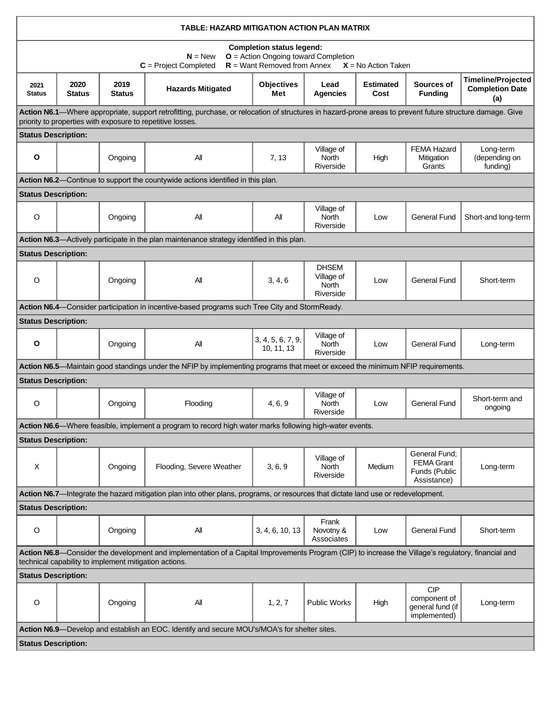| TABLE: HAZARD MITIGATION ACTION PLAN MATRIX                                                                                                                                                                             |                       |                       |                                                                                                                                   |                                 |                                                         |                          |                                                                    |                                                            |  |  |  |  |
|-------------------------------------------------------------------------------------------------------------------------------------------------------------------------------------------------------------------------|-----------------------|-----------------------|-----------------------------------------------------------------------------------------------------------------------------------|---------------------------------|---------------------------------------------------------|--------------------------|--------------------------------------------------------------------|------------------------------------------------------------|--|--|--|--|
| <b>Completion status legend:</b><br>$O =$ Action Ongoing toward Completion<br>$N = New$<br>$R =$ Want Removed from Annex<br>$C = Project Completed$<br>$X = No$ Action Taken                                            |                       |                       |                                                                                                                                   |                                 |                                                         |                          |                                                                    |                                                            |  |  |  |  |
| 2021<br><b>Status</b>                                                                                                                                                                                                   | 2020<br><b>Status</b> | 2019<br><b>Status</b> | <b>Hazards Mitigated</b>                                                                                                          | <b>Objectives</b><br>Met        | Lead<br><b>Agencies</b>                                 | <b>Estimated</b><br>Cost | Sources of<br><b>Funding</b>                                       | <b>Timeline/Projected</b><br><b>Completion Date</b><br>(a) |  |  |  |  |
| Action N6.1—Where appropriate, support retrofitting, purchase, or relocation of structures in hazard-prone areas to prevent future structure damage. Give<br>priority to properties with exposure to repetitive losses. |                       |                       |                                                                                                                                   |                                 |                                                         |                          |                                                                    |                                                            |  |  |  |  |
| <b>Status Description:</b>                                                                                                                                                                                              |                       |                       |                                                                                                                                   |                                 |                                                         |                          |                                                                    |                                                            |  |  |  |  |
| $\mathbf{o}$                                                                                                                                                                                                            |                       | Ongoing               | All                                                                                                                               | 7, 13                           | Village of<br><b>North</b><br>Riverside                 | High                     | <b>FEMA Hazard</b><br>Mitigation<br>Grants                         | Long-term<br>(depending on<br>funding)                     |  |  |  |  |
| Action N6.2—Continue to support the countywide actions identified in this plan.                                                                                                                                         |                       |                       |                                                                                                                                   |                                 |                                                         |                          |                                                                    |                                                            |  |  |  |  |
| <b>Status Description:</b>                                                                                                                                                                                              |                       |                       |                                                                                                                                   |                                 |                                                         |                          |                                                                    |                                                            |  |  |  |  |
| O                                                                                                                                                                                                                       |                       | Ongoing               | All                                                                                                                               | All                             | Village of<br><b>North</b><br>Riverside                 | Low                      | <b>General Fund</b>                                                | Short-and long-term                                        |  |  |  |  |
| Action N6.3—Actively participate in the plan maintenance strategy identified in this plan.                                                                                                                              |                       |                       |                                                                                                                                   |                                 |                                                         |                          |                                                                    |                                                            |  |  |  |  |
| <b>Status Description:</b>                                                                                                                                                                                              |                       |                       |                                                                                                                                   |                                 |                                                         |                          |                                                                    |                                                            |  |  |  |  |
| $\circ$                                                                                                                                                                                                                 |                       | Ongoing               | All                                                                                                                               | 3, 4, 6                         | <b>DHSEM</b><br>Village of<br><b>North</b><br>Riverside | Low                      | <b>General Fund</b>                                                | Short-term                                                 |  |  |  |  |
|                                                                                                                                                                                                                         |                       |                       | Action N6.4—Consider participation in incentive-based programs such Tree City and StormReady.                                     |                                 |                                                         |                          |                                                                    |                                                            |  |  |  |  |
| <b>Status Description:</b>                                                                                                                                                                                              |                       |                       |                                                                                                                                   |                                 |                                                         |                          |                                                                    |                                                            |  |  |  |  |
| O                                                                                                                                                                                                                       |                       | Ongoing               | All                                                                                                                               | 3, 4, 5, 6, 7, 9,<br>10, 11, 13 | Village of<br><b>North</b><br>Riverside                 | Low                      | <b>General Fund</b>                                                | Long-term                                                  |  |  |  |  |
|                                                                                                                                                                                                                         |                       |                       | Action N6.5—Maintain good standings under the NFIP by implementing programs that meet or exceed the minimum NFIP requirements.    |                                 |                                                         |                          |                                                                    |                                                            |  |  |  |  |
| <b>Status Description:</b>                                                                                                                                                                                              |                       |                       |                                                                                                                                   |                                 |                                                         |                          |                                                                    |                                                            |  |  |  |  |
| O                                                                                                                                                                                                                       |                       | Ongoing               | Flooding                                                                                                                          | 4, 6, 9                         | Village of<br><b>North</b><br>Riverside                 | Low                      | <b>General Fund</b>                                                | Short-term and<br>ongoing                                  |  |  |  |  |
|                                                                                                                                                                                                                         |                       |                       | Action N6.6—Where feasible, implement a program to record high water marks following high-water events.                           |                                 |                                                         |                          |                                                                    |                                                            |  |  |  |  |
| <b>Status Description:</b>                                                                                                                                                                                              |                       |                       |                                                                                                                                   |                                 |                                                         |                          |                                                                    |                                                            |  |  |  |  |
| $\times$                                                                                                                                                                                                                |                       | Ongoing               | Flooding, Severe Weather                                                                                                          | 3, 6, 9                         | Village of<br>North<br>Riverside                        | Medium                   | General Fund;<br><b>FEMA Grant</b><br>Funds (Public<br>Assistance) | Long-term                                                  |  |  |  |  |
|                                                                                                                                                                                                                         |                       |                       | Action N6.7-Integrate the hazard mitigation plan into other plans, programs, or resources that dictate land use or redevelopment. |                                 |                                                         |                          |                                                                    |                                                            |  |  |  |  |
| <b>Status Description:</b>                                                                                                                                                                                              |                       |                       |                                                                                                                                   |                                 |                                                         |                          |                                                                    |                                                            |  |  |  |  |
| $\circ$                                                                                                                                                                                                                 |                       | Ongoing               | All                                                                                                                               | 3, 4, 6, 10, 13                 | Frank<br>Novotny &<br>Associates                        | Low                      | <b>General Fund</b>                                                | Short-term                                                 |  |  |  |  |
| Action N6.8—Consider the development and implementation of a Capital Improvements Program (CIP) to increase the Village's regulatory, financial and<br>technical capability to implement mitigation actions.            |                       |                       |                                                                                                                                   |                                 |                                                         |                          |                                                                    |                                                            |  |  |  |  |
| <b>Status Description:</b>                                                                                                                                                                                              |                       |                       |                                                                                                                                   |                                 |                                                         |                          |                                                                    |                                                            |  |  |  |  |
| $\circ$                                                                                                                                                                                                                 |                       | Ongoing               | All                                                                                                                               | 1, 2, 7                         | <b>Public Works</b>                                     | High                     | <b>CIP</b><br>component of<br>general fund (if<br>implemented)     | Long-term                                                  |  |  |  |  |
| Action N6.9—Develop and establish an EOC. Identify and secure MOU's/MOA's for shelter sites.                                                                                                                            |                       |                       |                                                                                                                                   |                                 |                                                         |                          |                                                                    |                                                            |  |  |  |  |
| <b>Status Description:</b>                                                                                                                                                                                              |                       |                       |                                                                                                                                   |                                 |                                                         |                          |                                                                    |                                                            |  |  |  |  |